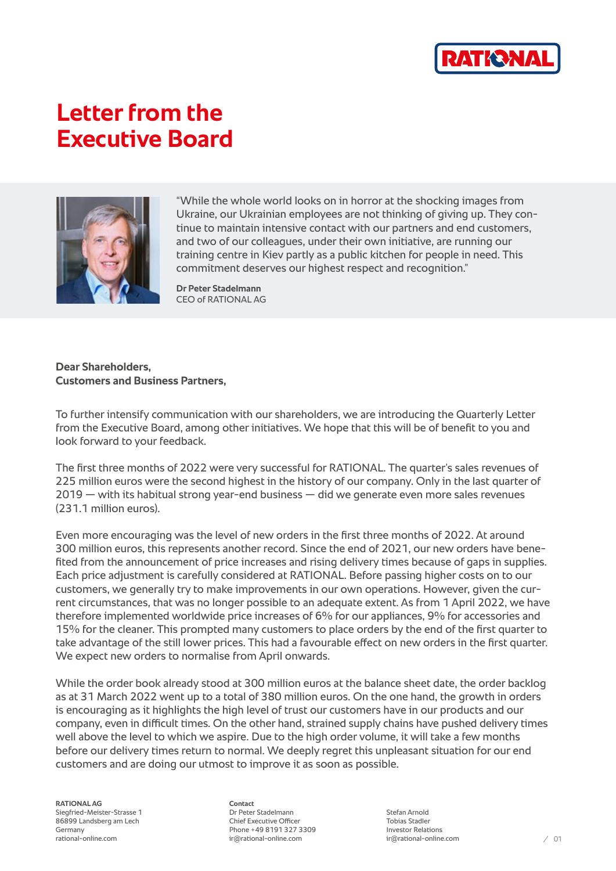

## **Letter from the Executive Board**



"While the whole world looks on in horror at the shocking images from Ukraine, our Ukrainian employees are not thinking of giving up. They continue to maintain intensive contact with our partners and end customers, and two of our colleagues, under their own initiative, are running our training centre in Kiev partly as a public kitchen for people in need. This commitment deserves our highest respect and recognition."

**Dr Peter Stadelmann** CEO of RATIONAL AG

## **Dear Shareholders, Customers and Business Partners,**

To further intensify communication with our shareholders, we are introducing the Quarterly Letter from the Executive Board, among other initiatives. We hope that this will be of benefit to you and look forward to your feedback.

The first three months of 2022 were very successful for RATIONAL. The quarter's sales revenues of 225 million euros were the second highest in the history of our company. Only in the last quarter of  $2019 -$  with its habitual strong year-end business  $-$  did we generate even more sales revenues (231.1 million euros).

Even more encouraging was the level of new orders in the first three months of 2022. At around 300 million euros, this represents another record. Since the end of 2021, our new orders have benefited from the announcement of price increases and rising delivery times because of gaps in supplies. Each price adjustment is carefully considered at RATIONAL. Before passing higher costs on to our customers, we generally try to make improvements in our own operations. However, given the current circumstances, that was no longer possible to an adequate extent. As from 1 April 2022, we have therefore implemented worldwide price increases of 6% for our appliances, 9% for accessories and 15% for the cleaner. This prompted many customers to place orders by the end of the first quarter to take advantage of the still lower prices. This had a favourable effect on new orders in the first quarter. We expect new orders to normalise from April onwards.

While the order book already stood at 300 million euros at the balance sheet date, the order backlog as at 31 March 2022 went up to a total of 380 million euros. On the one hand, the growth in orders is encouraging as it highlights the high level of trust our customers have in our products and our company, even in difficult times. On the other hand, strained supply chains have pushed delivery times well above the level to which we aspire. Due to the high order volume, it will take a few months before our delivery times return to normal. We deeply regret this unpleasant situation for our end customers and are doing our utmost to improve it as soon as possible.

**RATIONAL AG** Siegfried-Meister-Strasse 1 86899 Landsberg am Lech **Germany** rational-online.com

**Contact** Dr Peter Stadelmann Chief Executive Officer Phone +49 8191 327 3309 ir@rational-online.com

Stefan Arnold Tobias Stadler Investor Relations ir@rational-online.com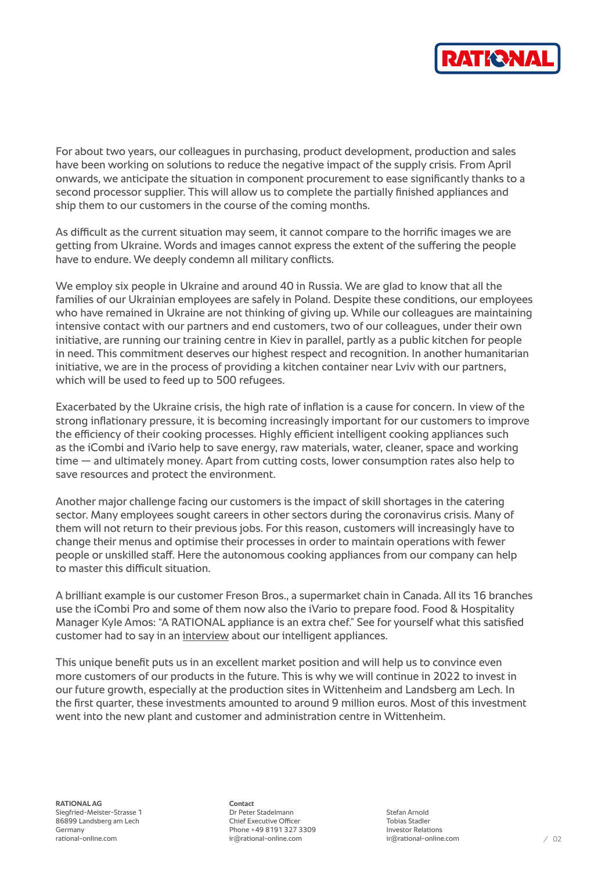

For about two years, our colleagues in purchasing, product development, production and sales have been working on solutions to reduce the negative impact of the supply crisis. From April onwards, we anticipate the situation in component procurement to ease significantly thanks to a second processor supplier. This will allow us to complete the partially finished appliances and ship them to our customers in the course of the coming months.

As difficult as the current situation may seem, it cannot compare to the horrific images we are getting from Ukraine. Words and images cannot express the extent of the suffering the people have to endure. We deeply condemn all military conflicts.

We employ six people in Ukraine and around 40 in Russia. We are glad to know that all the families of our Ukrainian employees are safely in Poland. Despite these conditions, our employees who have remained in Ukraine are not thinking of giving up. While our colleagues are maintaining intensive contact with our partners and end customers, two of our colleagues, under their own initiative, are running our training centre in Kiev in parallel, partly as a public kitchen for people in need. This commitment deserves our highest respect and recognition. In another humanitarian initiative, we are in the process of providing a kitchen container near Lviv with our partners, which will be used to feed up to 500 refugees.

Exacerbated by the Ukraine crisis, the high rate of inflation is a cause for concern. In view of the strong inflationary pressure, it is becoming increasingly important for our customers to improve the efficiency of their cooking processes. Highly efficient intelligent cooking appliances such as the iCombi and iVario help to save energy, raw materials, water, cleaner, space and working time — and ultimately money. Apart from cutting costs, lower consumption rates also help to save resources and protect the environment.

Another major challenge facing our customers is the impact of skill shortages in the catering sector. Many employees sought careers in other sectors during the coronavirus crisis. Many of them will not return to their previous jobs. For this reason, customers will increasingly have to change their menus and optimise their processes in order to maintain operations with fewer people or unskilled staff. Here the autonomous cooking appliances from our company can help to master this difficult situation.

A brilliant example is our customer Freson Bros., a supermarket chain in Canada. All its 16 branches use the iCombi Pro and some of them now also the iVario to prepare food. Food & Hospitality Manager Kyle Amos: "A RATIONAL appliance is an extra chef." See for yourself what this satisfied customer had to say in an [interview](https://www.youtube.com/watch?v=dgBsn8xKDh8) about our intelligent appliances.

This unique benefit puts us in an excellent market position and will help us to convince even more customers of our products in the future. This is why we will continue in 2022 to invest in our future growth, especially at the production sites in Wittenheim and Landsberg am Lech. In the first quarter, these investments amounted to around 9 million euros. Most of this investment went into the new plant and customer and administration centre in Wittenheim.

**RATIONAL AG** Siegfried-Meister-Strasse 1 86899 Landsberg am Lech Germany rational-online.com

**Contact** Dr Peter Stadelmann Chief Executive Officer Phone +49 8191 327 3309 ir@rational-online.com

Stefan Arnold Tobias Stadler Investor Relations ir@rational-online.com